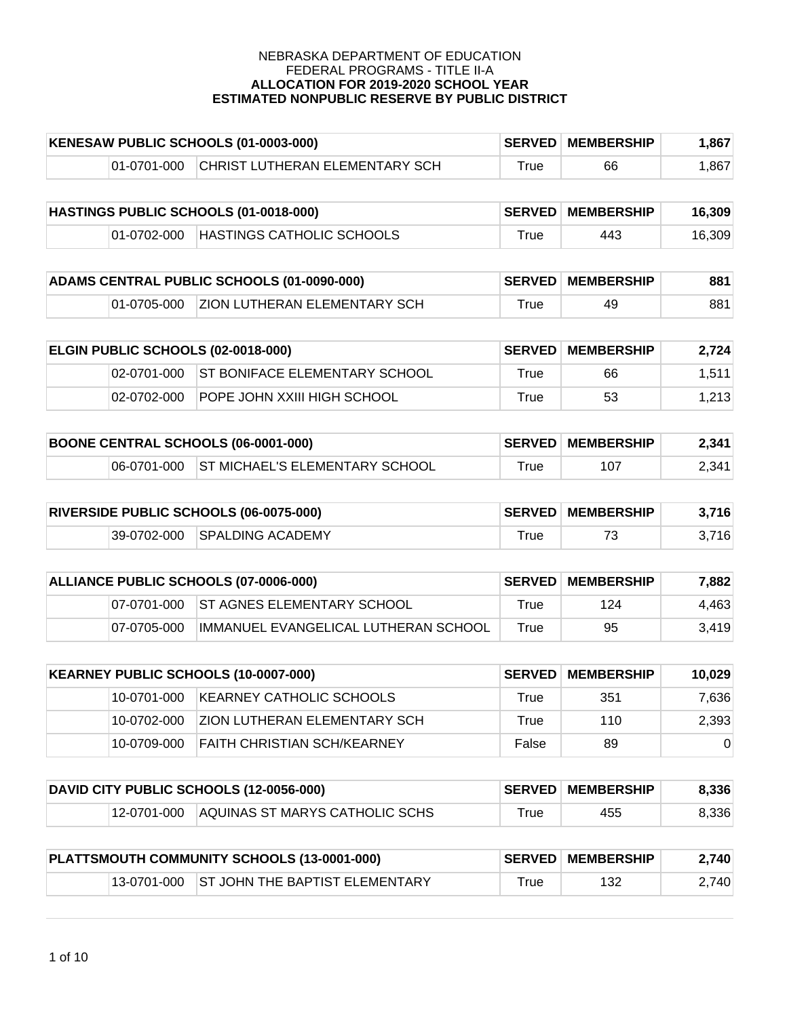| KENESAW PUBLIC SCHOOLS (01-0003-000) |             |                                       | <b>SERVED MEMBERSHIP</b> | .867 |      |
|--------------------------------------|-------------|---------------------------------------|--------------------------|------|------|
|                                      | 01-0701-000 | <b>CHRIST LUTHERAN ELEMENTARY SCH</b> | ™rue                     | 66   | .867 |

| HASTINGS PUBLIC SCHOOLS (01-0018-000) |             |                           | <b>SERVED MEMBERSHIP</b> | 16.309 |        |
|---------------------------------------|-------------|---------------------------|--------------------------|--------|--------|
|                                       | 01-0702-000 | HASTINGS CATHOLIC SCHOOLS | ™rue                     | 443    | 16.309 |

| ADAMS CENTRAL PUBLIC SCHOOLS (01-0090-000) |  |                                          | <b>SERVED MEMBERSHIP</b> | 881 |     |
|--------------------------------------------|--|------------------------------------------|--------------------------|-----|-----|
|                                            |  | 01-0705-000 ZION LUTHERAN ELEMENTARY SCH | $\tau$ rue               | 49  | 881 |

| <b>ELGIN PUBLIC SCHOOLS (02-0018-000)</b> |             |                                           | <b>SERVED MEMBERSHIP</b> | 2.724 |        |
|-------------------------------------------|-------------|-------------------------------------------|--------------------------|-------|--------|
|                                           |             | 02-0701-000 ST BONIFACE ELEMENTARY SCHOOL | True                     | 66    | 1.511. |
|                                           | 02-0702-000 | IPOPE JOHN XXIII HIGH SCHOOL              | True                     | 53    | 1.213  |

| <b>BOONE CENTRAL SCHOOLS (06-0001-000)</b> |  |                                            | <b>SERVED MEMBERSHIP</b> | 2,341 |       |
|--------------------------------------------|--|--------------------------------------------|--------------------------|-------|-------|
|                                            |  | 06-0701-000 ST MICHAEL'S ELEMENTARY SCHOOL | True                     | 107   | 2.341 |

| <b>RIVERSIDE PUBLIC SCHOOLS (06-0075-000)</b> |  |                              | <b>SERVED MEMBERSHIP</b> | 3,716 |       |
|-----------------------------------------------|--|------------------------------|--------------------------|-------|-------|
|                                               |  | 39-0702-000 SPALDING ACADEMY | $\tau$ rue               |       | 3.716 |

| ALLIANCE PUBLIC SCHOOLS (07-0006-000) |             |                                        | <b>SERVED MEMBERSHIP</b> | 7.882 |       |
|---------------------------------------|-------------|----------------------------------------|--------------------------|-------|-------|
|                                       |             | 07-0701-000 ST AGNES ELEMENTARY SCHOOL | True                     | 124   | 4,463 |
|                                       | 07-0705-000 | IIMMANUEL EVANGELICAL LUTHERAN SCHOOL  | True                     | 95    | 3.419 |

| KEARNEY PUBLIC SCHOOLS (10-0007-000) |               |                               | <b>∣SERVED ∣MEMBERSHIP</b> | 10.029 |          |
|--------------------------------------|---------------|-------------------------------|----------------------------|--------|----------|
|                                      | 10-0701-000   | IKEARNEY CATHOLIC SCHOOLS     | True                       | 351    | 7.636    |
|                                      | 10-0702-000   | IZION LUTHERAN ELEMENTARY SCH | True                       | 110    | 2,393    |
|                                      | 10-0709-000 * | FAITH CHRISTIAN SCH/KEARNEY   | False                      | 89     | $\Omega$ |

| DAVID CITY PUBLIC SCHOOLS (12-0056-000) |             |                                | <b>SERVED MEMBERSHIP</b> | 8,336 |       |
|-----------------------------------------|-------------|--------------------------------|--------------------------|-------|-------|
|                                         | 12-0701-000 | AQUINAS ST MARYS CATHOLIC SCHS | $^{\mathsf{r}}$ rue      | 455   | 8,336 |

| PLATTSMOUTH COMMUNITY SCHOOLS (13-0001-000) |  |                                            | <b>SERVED MEMBERSHIP</b> | 2.740 |       |
|---------------------------------------------|--|--------------------------------------------|--------------------------|-------|-------|
|                                             |  | 13-0701-000 ST JOHN THE BAPTIST ELEMENTARY | $^{\mathsf{r}}$ rue      | 132   | 2,740 |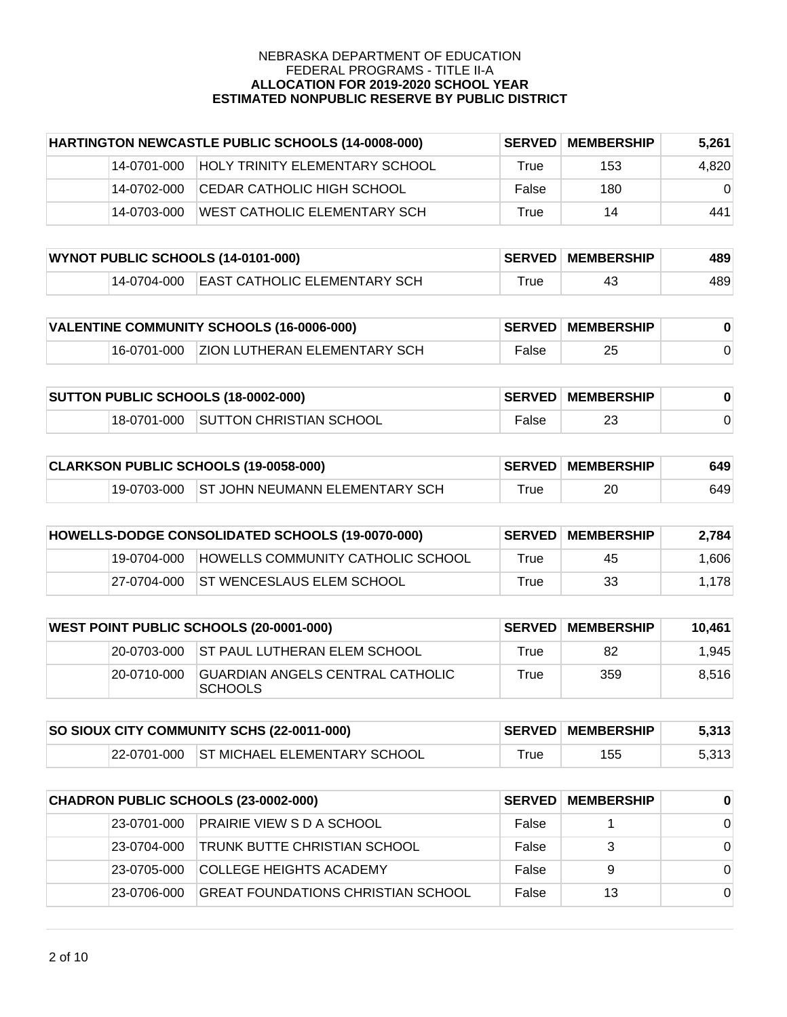| HARTINGTON NEWCASTLE PUBLIC SCHOOLS (14-0008-000) |             | <b>SERVED</b>                         | <b>MEMBERSHIP</b> | 5.261 |          |
|---------------------------------------------------|-------------|---------------------------------------|-------------------|-------|----------|
|                                                   | 14-0701-000 | <b>HOLY TRINITY ELEMENTARY SCHOOL</b> | True              | 153   | 4,820    |
|                                                   | 14-0702-000 | ICEDAR CATHOLIC HIGH SCHOOL           | False             | 180   | $\Omega$ |
|                                                   | 14-0703-000 | WEST CATHOLIC ELEMENTARY SCH          | True              | 14    | 441      |

| WYNOT PUBLIC SCHOOLS (14-0101-000) |              |                                                | <b>SERVED MEMBERSHIP</b> | 489 |     |
|------------------------------------|--------------|------------------------------------------------|--------------------------|-----|-----|
|                                    | '14-0704-000 | $\blacksquare$ [EAST CATHOLIC ELEMENTARY SCH ] | ™rue                     |     | 489 |

| VALENTINE COMMUNITY SCHOOLS (16-0006-000) |  |                                          | <b>SERVED MEMBERSHIP</b> |    |  |
|-------------------------------------------|--|------------------------------------------|--------------------------|----|--|
|                                           |  | 16-0701-000 ZION LUTHERAN ELEMENTARY SCH | False                    | 25 |  |

| <b>SUTTON PUBLIC SCHOOLS (18-0002-000)</b> |  |                                     | <b>SERVED MEMBERSHIP</b> |  |  |
|--------------------------------------------|--|-------------------------------------|--------------------------|--|--|
|                                            |  | 18-0701-000 SUTTON CHRISTIAN SCHOOL | False                    |  |  |

| CLARKSON PUBLIC SCHOOLS (19-0058-000) |  |                                            | <b>SERVED MEMBERSHIP</b> | 649 |     |
|---------------------------------------|--|--------------------------------------------|--------------------------|-----|-----|
|                                       |  | 19-0703-000 ST JOHN NEUMANN ELEMENTARY SCH | $\mathsf{True}$          | 20  | 649 |

| HOWELLS-DODGE CONSOLIDATED SCHOOLS (19-0070-000) |             |                                   | <b>SERVED MEMBERSHIP</b> | 2.784 |       |
|--------------------------------------------------|-------------|-----------------------------------|--------------------------|-------|-------|
|                                                  | 19-0704-000 | HOWELLS COMMUNITY CATHOLIC SCHOOL | True                     | 45    | 1.606 |
|                                                  | 27-0704-000 | <b>ST WENCESLAUS ELEM SCHOOL</b>  | True                     | 33    | 1,178 |

| <b>WEST POINT PUBLIC SCHOOLS (20-0001-000)</b> |             |                                                     | <b>SERVED MEMBERSHIP</b> | 10.461 |       |
|------------------------------------------------|-------------|-----------------------------------------------------|--------------------------|--------|-------|
|                                                |             | 20-0703-000 ST PAUL LUTHERAN ELEM SCHOOL            | True                     | 82     | 1.945 |
|                                                | 20-0710-000 | IGUARDIAN ANGELS CENTRAL CATHOLIC<br><b>SCHOOLS</b> | True                     | 359    | 8.516 |

| SO SIOUX CITY COMMUNITY SCHS (22-0011-000) |  |                                          | <b>SERVED MEMBERSHIP</b> | 5.313 |       |
|--------------------------------------------|--|------------------------------------------|--------------------------|-------|-------|
|                                            |  | 22-0701-000 ST MICHAEL ELEMENTARY SCHOOL | $\tau$ rue               | 155   | 5,313 |

| CHADRON PUBLIC SCHOOLS (23-0002-000) |              |                                     | <b>SERVED MEMBERSHIP</b> | $\bf{0}$ |          |
|--------------------------------------|--------------|-------------------------------------|--------------------------|----------|----------|
|                                      | 23-0701-000  | <b>PRAIRIE VIEW S D A SCHOOL</b>    | False                    |          | $\Omega$ |
|                                      | 23-0704-000  | <b>TRUNK BUTTE CHRISTIAN SCHOOL</b> | False                    | 3        | $\Omega$ |
|                                      | 23-0705-000  | <b>COLLEGE HEIGHTS ACADEMY</b>      | False                    | 9        | $\Omega$ |
|                                      | 123-0706-000 | GREAT FOUNDATIONS CHRISTIAN SCHOOL  | False                    | 13       | $\Omega$ |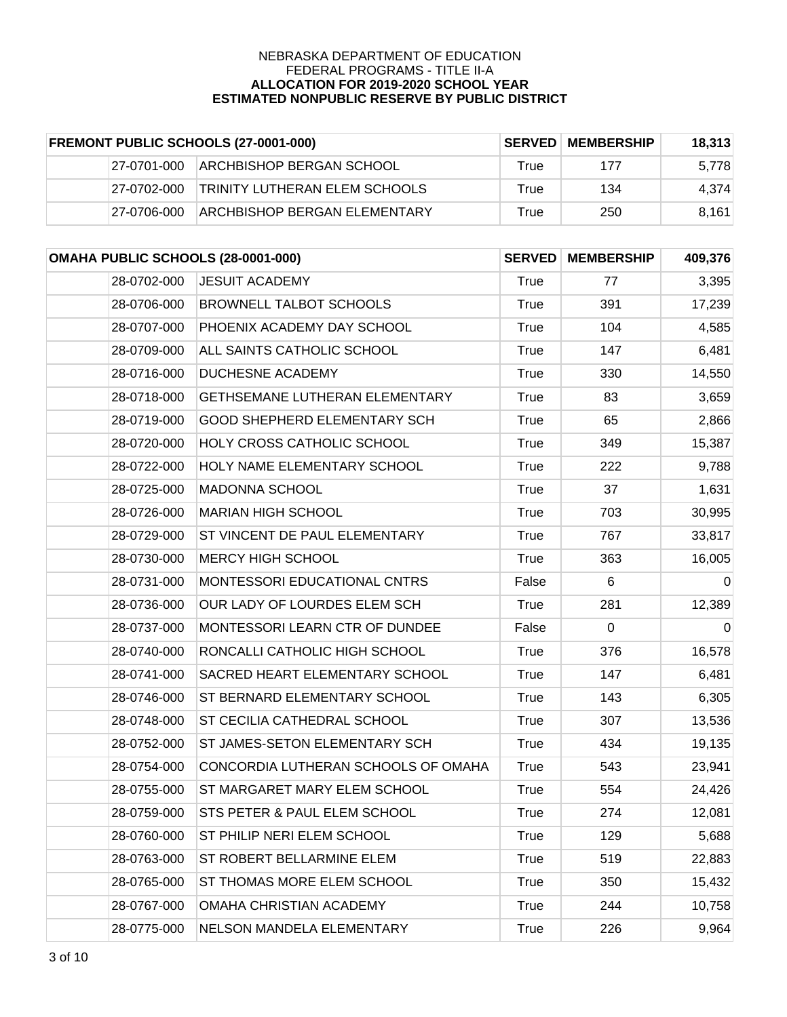| <b>FREMONT PUBLIC SCHOOLS (27-0001-000)</b> |             | <b>SERVED</b>                        | <b>MEMBERSHIP</b> | 18.313 |       |
|---------------------------------------------|-------------|--------------------------------------|-------------------|--------|-------|
|                                             | 27-0701-000 | IARCHBISHOP BERGAN SCHOOL            | True              | 177    | 5,778 |
|                                             | 27-0702-000 | <b>TRINITY LUTHERAN ELEM SCHOOLS</b> | True              | 134    | 4.374 |
|                                             | 27-0706-000 | <b>ARCHBISHOP BERGAN ELEMENTARY</b>  | True              | 250    | 8.161 |

| OMAHA PUBLIC SCHOOLS (28-0001-000) |                                       | <b>SERVED</b> | <b>MEMBERSHIP</b> | 409,376     |
|------------------------------------|---------------------------------------|---------------|-------------------|-------------|
| 28-0702-000                        | <b>JESUIT ACADEMY</b>                 | True          | 77                | 3,395       |
| 28-0706-000                        | <b>BROWNELL TALBOT SCHOOLS</b>        | <b>True</b>   | 391               | 17,239      |
| 28-0707-000                        | PHOENIX ACADEMY DAY SCHOOL            | <b>True</b>   | 104               | 4,585       |
| 28-0709-000                        | ALL SAINTS CATHOLIC SCHOOL            | <b>True</b>   | 147               | 6,481       |
| 28-0716-000                        | <b>DUCHESNE ACADEMY</b>               | <b>True</b>   | 330               | 14,550      |
| 28-0718-000                        | <b>GETHSEMANE LUTHERAN ELEMENTARY</b> | <b>True</b>   | 83                | 3,659       |
| 28-0719-000                        | <b>GOOD SHEPHERD ELEMENTARY SCH</b>   | <b>True</b>   | 65                | 2,866       |
| 28-0720-000                        | <b>HOLY CROSS CATHOLIC SCHOOL</b>     | <b>True</b>   | 349               | 15,387      |
| 28-0722-000                        | HOLY NAME ELEMENTARY SCHOOL           | <b>True</b>   | 222               | 9,788       |
| 28-0725-000                        | <b>MADONNA SCHOOL</b>                 | <b>True</b>   | 37                | 1,631       |
| 28-0726-000                        | <b>MARIAN HIGH SCHOOL</b>             | <b>True</b>   | 703               | 30,995      |
| 28-0729-000                        | ST VINCENT DE PAUL ELEMENTARY         | <b>True</b>   | 767               | 33,817      |
| 28-0730-000                        | <b>MERCY HIGH SCHOOL</b>              | <b>True</b>   | 363               | 16,005      |
| 28-0731-000                        | MONTESSORI EDUCATIONAL CNTRS          | False         | 6                 | $\mathbf 0$ |
| 28-0736-000                        | OUR LADY OF LOURDES ELEM SCH          | <b>True</b>   | 281               | 12,389      |
| 28-0737-000                        | MONTESSORI LEARN CTR OF DUNDEE        | False         | $\mathbf 0$       | $\mathbf 0$ |
| 28-0740-000                        | RONCALLI CATHOLIC HIGH SCHOOL         | True          | 376               | 16,578      |
| 28-0741-000                        | SACRED HEART ELEMENTARY SCHOOL        | <b>True</b>   | 147               | 6,481       |
| 28-0746-000                        | ST BERNARD ELEMENTARY SCHOOL          | <b>True</b>   | 143               | 6,305       |
| 28-0748-000                        | ST CECILIA CATHEDRAL SCHOOL           | <b>True</b>   | 307               | 13,536      |
| 28-0752-000                        | ST JAMES-SETON ELEMENTARY SCH         | <b>True</b>   | 434               | 19,135      |
| 28-0754-000                        | CONCORDIA LUTHERAN SCHOOLS OF OMAHA   | True          | 543               | 23,941      |
| 28-0755-000                        | ST MARGARET MARY ELEM SCHOOL          | <b>True</b>   | 554               | 24,426      |
| 28-0759-000                        | STS PETER & PAUL ELEM SCHOOL          | <b>True</b>   | 274               | 12,081      |
| 28-0760-000                        | ST PHILIP NERI ELEM SCHOOL            | True          | 129               | 5,688       |
| 28-0763-000                        | ST ROBERT BELLARMINE ELEM             | <b>True</b>   | 519               | 22,883      |
| 28-0765-000                        | ST THOMAS MORE ELEM SCHOOL            | True          | 350               | 15,432      |
| 28-0767-000                        | OMAHA CHRISTIAN ACADEMY               | <b>True</b>   | 244               | 10,758      |
| 28-0775-000                        | NELSON MANDELA ELEMENTARY             | <b>True</b>   | 226               | 9,964       |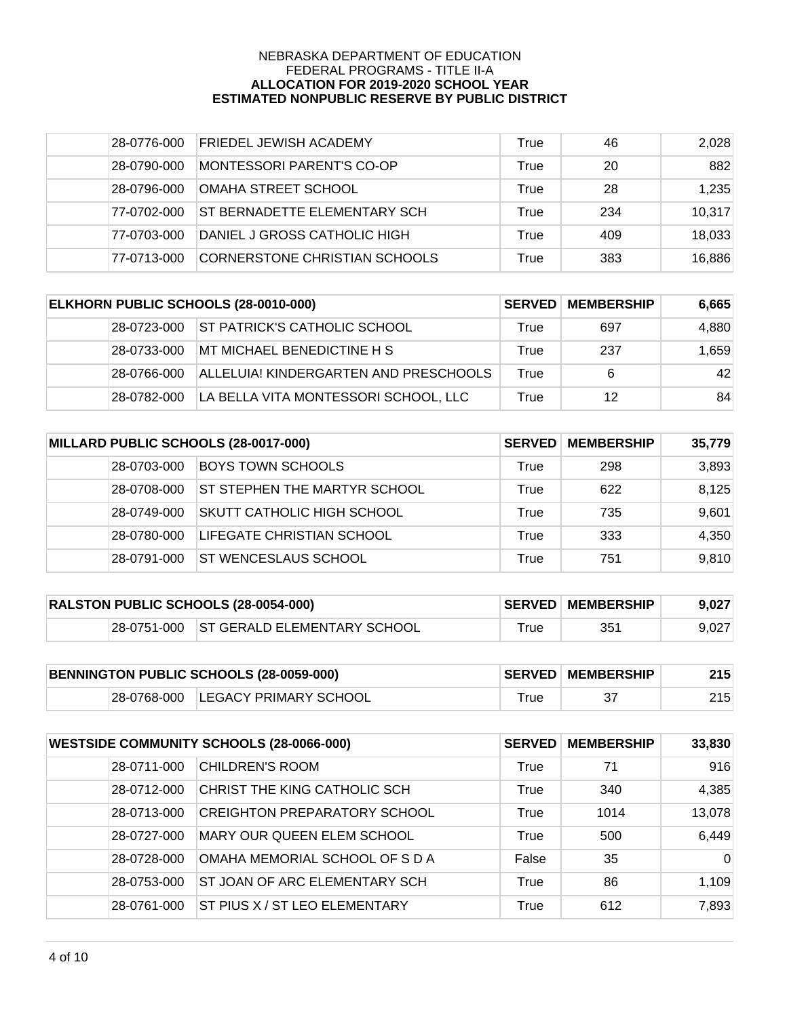| 28-0776-000 | <b>FRIEDEL JEWISH ACADEMY</b> | True | 46  | 2,028  |
|-------------|-------------------------------|------|-----|--------|
| 28-0790-000 | MONTESSORI PARENT'S CO-OP     | True | 20  | 882    |
| 28-0796-000 | OMAHA STREET SCHOOL           | True | 28  | 1,235  |
| 77-0702-000 | ST BERNADETTE ELEMENTARY SCH  | True | 234 | 10,317 |
| 77-0703-000 | DANIEL J GROSS CATHOLIC HIGH  | True | 409 | 18,033 |
| 77-0713-000 | CORNERSTONE CHRISTIAN SCHOOLS | True | 383 | 16,886 |

| ELKHORN PUBLIC SCHOOLS (28-0010-000) |              | <b>SERVED</b>                         | <b>MEMBERSHIP</b> | 6,665 |       |
|--------------------------------------|--------------|---------------------------------------|-------------------|-------|-------|
|                                      | 28-0723-000  | <b>ST PATRICK'S CATHOLIC SCHOOL</b>   | True              | 697   | 4,880 |
|                                      | 128-0733-000 | MT MICHAEL BENEDICTINE H S            | True              | 237   | 1.659 |
|                                      | 28-0766-000  | ALLELUIA! KINDERGARTEN AND PRESCHOOLS | True              | 6     | 42    |
|                                      | 28-0782-000  | LA BELLA VITA MONTESSORI SCHOOL, LLC  | True              | 12    | 84    |

| MILLARD PUBLIC SCHOOLS (28-0017-000) |             | <b>SERVED</b>                       | <b>MEMBERSHIP</b> | 35,779 |       |
|--------------------------------------|-------------|-------------------------------------|-------------------|--------|-------|
|                                      | 28-0703-000 | <b>BOYS TOWN SCHOOLS</b>            | True              | 298    | 3,893 |
|                                      | 28-0708-000 | <b>ST STEPHEN THE MARTYR SCHOOL</b> | True              | 622    | 8,125 |
|                                      | 28-0749-000 | ISKUTT CATHOLIC HIGH SCHOOL         | True              | 735    | 9,601 |
|                                      | 28-0780-000 | <b>LIFEGATE CHRISTIAN SCHOOL</b>    | True              | 333    | 4,350 |
|                                      | 28-0791-000 | <b>ST WENCESLAUS SCHOOL</b>         | True              | 751    | 9,810 |

| <b>RALSTON PUBLIC SCHOOLS (28-0054-000)</b> |  |                                         | <b>SERVED MEMBERSHIP</b> | 9,027 |       |
|---------------------------------------------|--|-----------------------------------------|--------------------------|-------|-------|
|                                             |  | 28-0751-000 ST GERALD ELEMENTARY SCHOOL | $r$ rue                  | 351   | 9,027 |

| BENNINGTON PUBLIC SCHOOLS (28-0059-000) |  | <b>SERVED MEMBERSHIP</b>          | 215 |  |
|-----------------------------------------|--|-----------------------------------|-----|--|
|                                         |  | 28-0768-000 LEGACY PRIMARY SCHOOL |     |  |

| <b>WESTSIDE COMMUNITY SCHOOLS (28-0066-000)</b> |             | <b>SERVED</b>                        | <b>MEMBERSHIP</b> | 33,830 |          |
|-------------------------------------------------|-------------|--------------------------------------|-------------------|--------|----------|
|                                                 | 28-0711-000 | <b>CHILDREN'S ROOM</b>               | True              | 71     | 916      |
|                                                 | 28-0712-000 | CHRIST THE KING CATHOLIC SCH         | True              | 340    | 4,385    |
|                                                 | 28-0713-000 | <b>CREIGHTON PREPARATORY SCHOOL</b>  | True              | 1014   | 13,078   |
|                                                 | 28-0727-000 | MARY OUR QUEEN ELEM SCHOOL           | True              | 500    | 6,449    |
|                                                 | 28-0728-000 | OMAHA MEMORIAL SCHOOL OF S D A       | False             | 35     | $\Omega$ |
|                                                 | 28-0753-000 | ST JOAN OF ARC ELEMENTARY SCH        | True              | 86     | 1,109    |
|                                                 | 28-0761-000 | <b>ST PIUS X / ST LEO ELEMENTARY</b> | True              | 612    | 7,893    |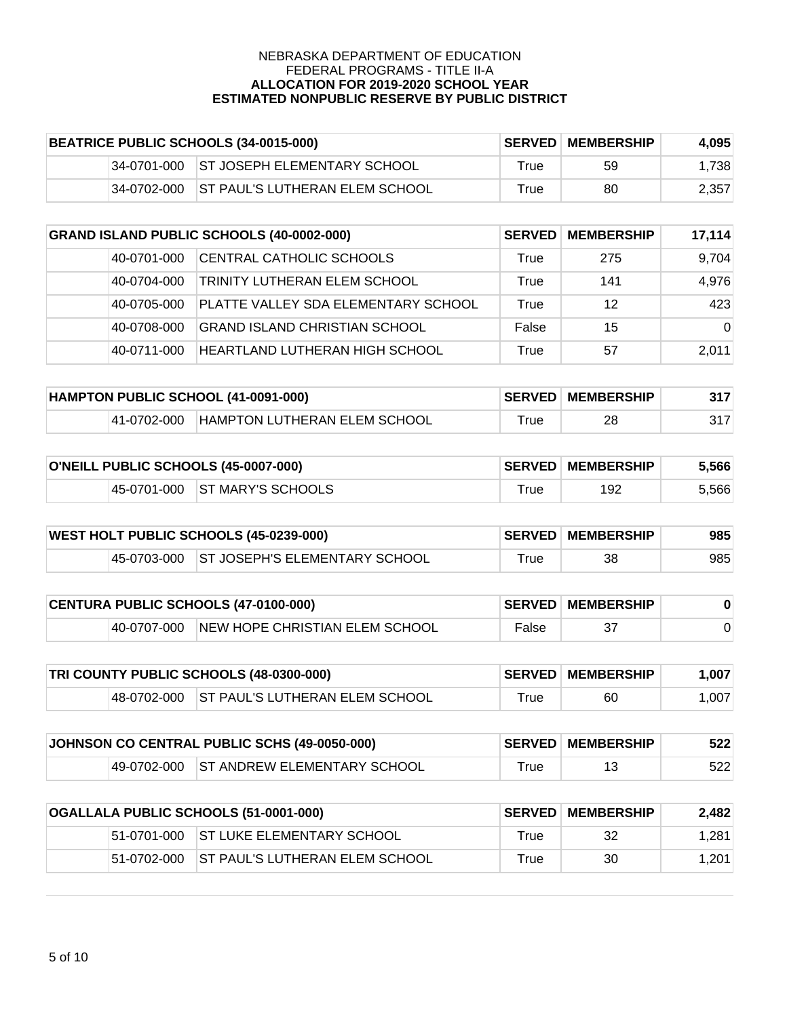| BEATRICE PUBLIC SCHOOLS (34-0015-000) |             |                                         | <b>SERVED MEMBERSHIP</b> | 4.095 |       |
|---------------------------------------|-------------|-----------------------------------------|--------------------------|-------|-------|
|                                       |             | 34-0701-000 ST JOSEPH ELEMENTARY SCHOOL | True                     | 59    | 1.738 |
|                                       | 34-0702-000 | <b>ST PAUL'S LUTHERAN ELEM SCHOOL</b>   | True                     | 80    | 2.357 |

| <b>GRAND ISLAND PUBLIC SCHOOLS (40-0002-000)</b> |             | <b>SERVED</b>                       | <b>MEMBERSHIP</b> | 17,114 |          |
|--------------------------------------------------|-------------|-------------------------------------|-------------------|--------|----------|
|                                                  | 40-0701-000 | CENTRAL CATHOLIC SCHOOLS            | True              | 275    | 9,704    |
|                                                  | 40-0704-000 | TRINITY LUTHERAN ELEM SCHOOL        | True              | 141    | 4,976    |
|                                                  | 40-0705-000 | PLATTE VALLEY SDA ELEMENTARY SCHOOL | True              | 12     | 423      |
|                                                  | 40-0708-000 | GRAND ISLAND CHRISTIAN SCHOOL       | False             | 15     | $\Omega$ |
|                                                  | 40-0711-000 | HEARTLAND LUTHERAN HIGH SCHOOL      | True              | 57     | 2.011    |

| HAMPTON PUBLIC SCHOOL (41-0091-000) |             |                              | <b>SERVED MEMBERSHIP</b> | 317 |  |
|-------------------------------------|-------------|------------------------------|--------------------------|-----|--|
|                                     | 41-0702-000 | HAMPTON LUTHERAN ELEM SCHOOL | ™rue                     | 28  |  |

| O'NEILL PUBLIC SCHOOLS (45-0007-000) |                               |            | <b>SERVED MEMBERSHIP</b> | 5,566 |
|--------------------------------------|-------------------------------|------------|--------------------------|-------|
|                                      | 45-0701-000 ST MARY'S SCHOOLS | $\tau$ rue | 192                      | 5,566 |

| <b>WEST HOLT PUBLIC SCHOOLS (45-0239-000)</b> |  |                                           | <b>SERVED MEMBERSHIP</b> | 985 |     |
|-----------------------------------------------|--|-------------------------------------------|--------------------------|-----|-----|
|                                               |  | 45-0703-000 ST JOSEPH'S ELEMENTARY SCHOOL | $^{\mathsf{r}}$ rue      | 38  | 985 |

| CENTURA PUBLIC SCHOOLS (47-0100-000) |  |                                            | <b>SERVED MEMBERSHIP</b> |  |  |
|--------------------------------------|--|--------------------------------------------|--------------------------|--|--|
|                                      |  | 40-0707-000 NEW HOPE CHRISTIAN ELEM SCHOOL | False                    |  |  |

| <b>TRI COUNTY PUBLIC SCHOOLS (48-0300-000)</b> |  |                                            | <b>SERVED MEMBERSHIP</b> | 1.007 |       |
|------------------------------------------------|--|--------------------------------------------|--------------------------|-------|-------|
|                                                |  | 48-0702-000 ST PAUL'S LUTHERAN ELEM SCHOOL | ™rue                     | 60    | 1.007 |

| JOHNSON CO CENTRAL PUBLIC SCHS (49-0050-000) |  |                                         | <b>SERVED MEMBERSHIP</b> | 522 |     |
|----------------------------------------------|--|-----------------------------------------|--------------------------|-----|-----|
|                                              |  | 49-0702-000 ST ANDREW ELEMENTARY SCHOOL | $\tau$ rue               |     | 522 |

| OGALLALA PUBLIC SCHOOLS (51-0001-000) |             | <b>SERVED</b>                   | <b>MEMBERSHIP</b> | 2.482 |       |
|---------------------------------------|-------------|---------------------------------|-------------------|-------|-------|
|                                       | 51-0701-000 | IST LUKE ELEMENTARY SCHOOL      | True              | 32    | 1,281 |
|                                       | 51-0702-000 | IST PAUL'S LUTHERAN ELEM SCHOOL | True              | 30    | 1.201 |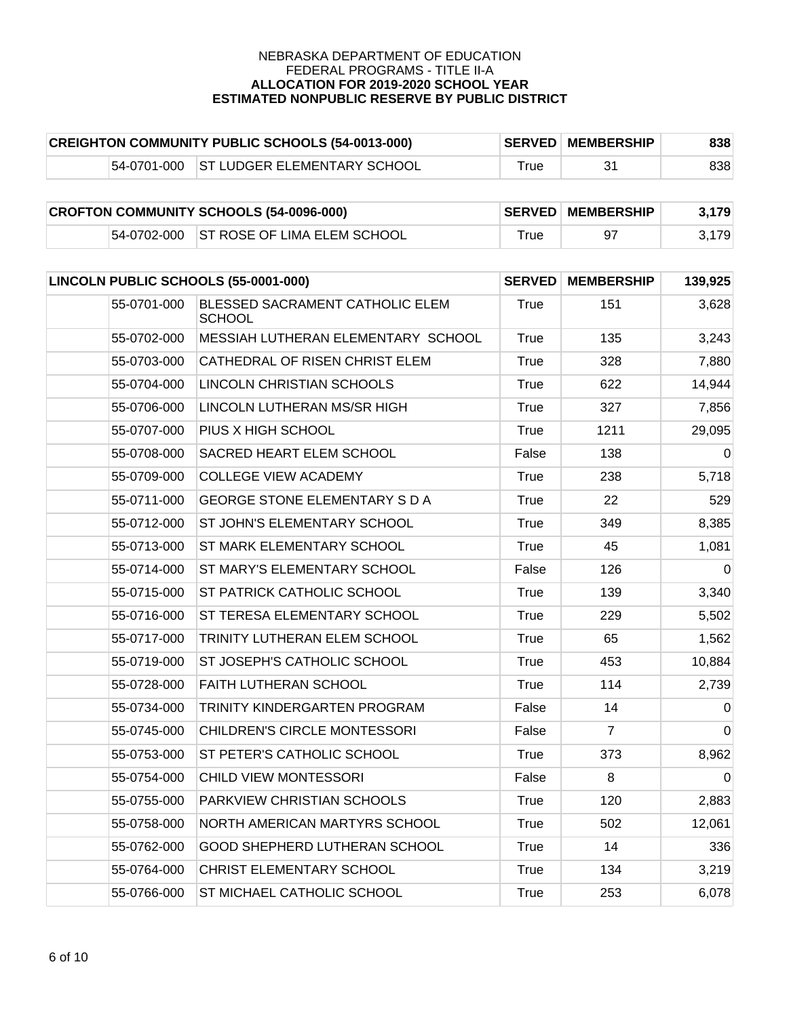| <b>CREIGHTON COMMUNITY PUBLIC SCHOOLS (54-0013-000)</b> |  |                                           | <b>SERVED MEMBERSHIP</b> | 838 |     |
|---------------------------------------------------------|--|-------------------------------------------|--------------------------|-----|-----|
|                                                         |  | 154-0701-000 IST LUDGER ELEMENTARY SCHOOL | rue                      |     | 838 |

| <b>CROFTON COMMUNITY SCHOOLS (54-0096-000)</b> |  |                                         | <b>SERVED MEMBERSHIP</b>     | 3.179 |       |
|------------------------------------------------|--|-----------------------------------------|------------------------------|-------|-------|
|                                                |  | 54-0702-000 ST ROSE OF LIMA ELEM SCHOOL | $\mathsf{^{\mathsf{T}}}$ rue |       | 3,179 |

| LINCOLN PUBLIC SCHOOLS (55-0001-000) |                                                  | <b>SERVED</b> | <b>MEMBERSHIP</b> | 139,925  |
|--------------------------------------|--------------------------------------------------|---------------|-------------------|----------|
| 55-0701-000                          | BLESSED SACRAMENT CATHOLIC ELEM<br><b>SCHOOL</b> | <b>True</b>   | 151               | 3,628    |
| 55-0702-000                          | MESSIAH LUTHERAN ELEMENTARY SCHOOL               | <b>True</b>   | 135               | 3,243    |
| 55-0703-000                          | CATHEDRAL OF RISEN CHRIST ELEM                   | True          | 328               | 7,880    |
| 55-0704-000                          | LINCOLN CHRISTIAN SCHOOLS                        | True          | 622               | 14,944   |
| 55-0706-000                          | LINCOLN LUTHERAN MS/SR HIGH                      | True          | 327               | 7,856    |
| 55-0707-000                          | PIUS X HIGH SCHOOL                               | True          | 1211              | 29,095   |
| 55-0708-000                          | SACRED HEART ELEM SCHOOL                         | False         | 138               | $\Omega$ |
| 55-0709-000                          | <b>COLLEGE VIEW ACADEMY</b>                      | <b>True</b>   | 238               | 5,718    |
| 55-0711-000                          | <b>GEORGE STONE ELEMENTARY S D A</b>             | True          | 22                | 529      |
| 55-0712-000                          | ST JOHN'S ELEMENTARY SCHOOL                      | True          | 349               | 8,385    |
| 55-0713-000                          | ST MARK ELEMENTARY SCHOOL                        | <b>True</b>   | 45                | 1,081    |
| 55-0714-000                          | ST MARY'S ELEMENTARY SCHOOL                      | False         | 126               | $\Omega$ |
| 55-0715-000                          | ST PATRICK CATHOLIC SCHOOL                       | True          | 139               | 3,340    |
| 55-0716-000                          | ST TERESA ELEMENTARY SCHOOL                      | <b>True</b>   | 229               | 5,502    |
| 55-0717-000                          | TRINITY LUTHERAN ELEM SCHOOL                     | True          | 65                | 1,562    |
| 55-0719-000                          | ST JOSEPH'S CATHOLIC SCHOOL                      | <b>True</b>   | 453               | 10,884   |
| 55-0728-000                          | <b>FAITH LUTHERAN SCHOOL</b>                     | <b>True</b>   | 114               | 2,739    |
| 55-0734-000                          | TRINITY KINDERGARTEN PROGRAM                     | False         | 14                | $\Omega$ |
| 55-0745-000                          | CHILDREN'S CIRCLE MONTESSORI                     | False         | $\overline{7}$    | $\Omega$ |
| 55-0753-000                          | ST PETER'S CATHOLIC SCHOOL                       | <b>True</b>   | 373               | 8,962    |
| 55-0754-000                          | CHILD VIEW MONTESSORI                            | False         | 8                 | $\Omega$ |
| 55-0755-000                          | PARKVIEW CHRISTIAN SCHOOLS                       | True          | 120               | 2,883    |
| 55-0758-000                          | NORTH AMERICAN MARTYRS SCHOOL                    | <b>True</b>   | 502               | 12,061   |
| 55-0762-000                          | GOOD SHEPHERD LUTHERAN SCHOOL                    | True          | 14                | 336      |
| 55-0764-000                          | CHRIST ELEMENTARY SCHOOL                         | True          | 134               | 3,219    |
| 55-0766-000                          | ST MICHAEL CATHOLIC SCHOOL                       | True          | 253               | 6,078    |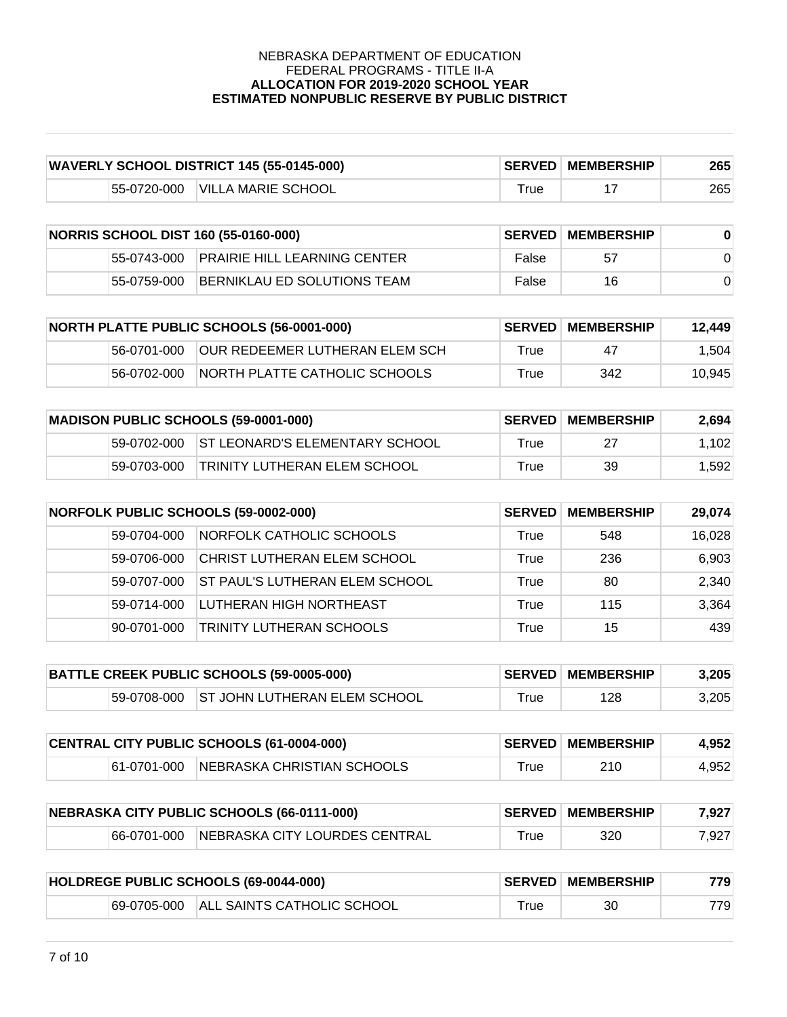| <b>WAVERLY SCHOOL DISTRICT 145 (55-0145-000)</b> |             |                    | <b>SERVED MEMBERSHIP</b> | 265 |     |
|--------------------------------------------------|-------------|--------------------|--------------------------|-----|-----|
|                                                  | 55-0720-000 | VILLA MARIE SCHOOL | $T$ rue                  |     | 265 |

| <b>NORRIS SCHOOL DIST 160 (55-0160-000)</b> |             |                                          | <b>SERVED MEMBERSHIP</b> |    |  |
|---------------------------------------------|-------------|------------------------------------------|--------------------------|----|--|
|                                             |             | 55-0743-000 PRAIRIE HILL LEARNING CENTER | False                    | 57 |  |
|                                             | 55-0759-000 | BERNIKLAU ED SOLUTIONS TEAM              | False                    | 16 |  |

| <b>NORTH PLATTE PUBLIC SCHOOLS (56-0001-000)</b> |             | <b>SERVED</b>                          | <b>MEMBERSHIP</b> | 12.449 |        |
|--------------------------------------------------|-------------|----------------------------------------|-------------------|--------|--------|
|                                                  | 56-0701-000 | <b>JOUR REDEEMER LUTHERAN ELEM SCH</b> | True              | 47     | 1,504  |
|                                                  | 56-0702-000 | INORTH PLATTE CATHOLIC SCHOOLS         | True              | 342    | 10.945 |

| <b>MADISON PUBLIC SCHOOLS (59-0001-000)</b> |             |                                            | <b>SERVED MEMBERSHIP</b> | 2,694 |       |
|---------------------------------------------|-------------|--------------------------------------------|--------------------------|-------|-------|
|                                             |             | 59-0702-000 ST LEONARD'S ELEMENTARY SCHOOL | $T$ rue                  | 27    | 1.102 |
|                                             | 59-0703-000 | TRINITY LUTHERAN ELEM SCHOOL               | True                     | 39    | 1.592 |

| <b>NORFOLK PUBLIC SCHOOLS (59-0002-000)</b> |             | <b>SERVED</b>                         | <b>MEMBERSHIP</b> | 29,074 |        |
|---------------------------------------------|-------------|---------------------------------------|-------------------|--------|--------|
|                                             | 59-0704-000 | NORFOLK CATHOLIC SCHOOLS              | True              | 548    | 16,028 |
|                                             | 59-0706-000 | CHRIST LUTHERAN ELEM SCHOOL           | True              | 236    | 6,903  |
|                                             | 59-0707-000 | <b>ST PAUL'S LUTHERAN ELEM SCHOOL</b> | True              | 80     | 2,340  |
|                                             | 59-0714-000 | LUTHERAN HIGH NORTHEAST               | True              | 115    | 3,364  |
|                                             | 90-0701-000 | TRINITY LUTHERAN SCHOOLS              | True              | 15     | 439    |

| BATTLE CREEK PUBLIC SCHOOLS (59-0005-000) |  |                                          | <b>SERVED MEMBERSHIP</b> | 3,205 |       |
|-------------------------------------------|--|------------------------------------------|--------------------------|-------|-------|
|                                           |  | 59-0708-000 ST JOHN LUTHERAN ELEM SCHOOL | $\tau$ rue               | 128   | 3.205 |

| CENTRAL CITY PUBLIC SCHOOLS (61-0004-000) |  |                                        | <b>SERVED MEMBERSHIP</b> | 4,952 |       |
|-------------------------------------------|--|----------------------------------------|--------------------------|-------|-------|
|                                           |  | 61-0701-000 NEBRASKA CHRISTIAN SCHOOLS | True                     | 210   | 4,952 |

| NEBRASKA CITY PUBLIC SCHOOLS (66-0111-000) |             |                                | <b>SERVED MEMBERSHIP</b> | 7.927 |       |
|--------------------------------------------|-------------|--------------------------------|--------------------------|-------|-------|
|                                            | 66-0701-000 | INEBRASKA CITY LOURDES CENTRAL | ™rue                     | 320   | 7,927 |

| HOLDREGE PUBLIC SCHOOLS (69-0044-000) |             |                             | <b>SERVED MEMBERSHIP</b> | 779 |      |
|---------------------------------------|-------------|-----------------------------|--------------------------|-----|------|
|                                       | 69-0705-000 | IALL SAINTS CATHOLIC SCHOOL | ™rue                     | 30  | 7791 |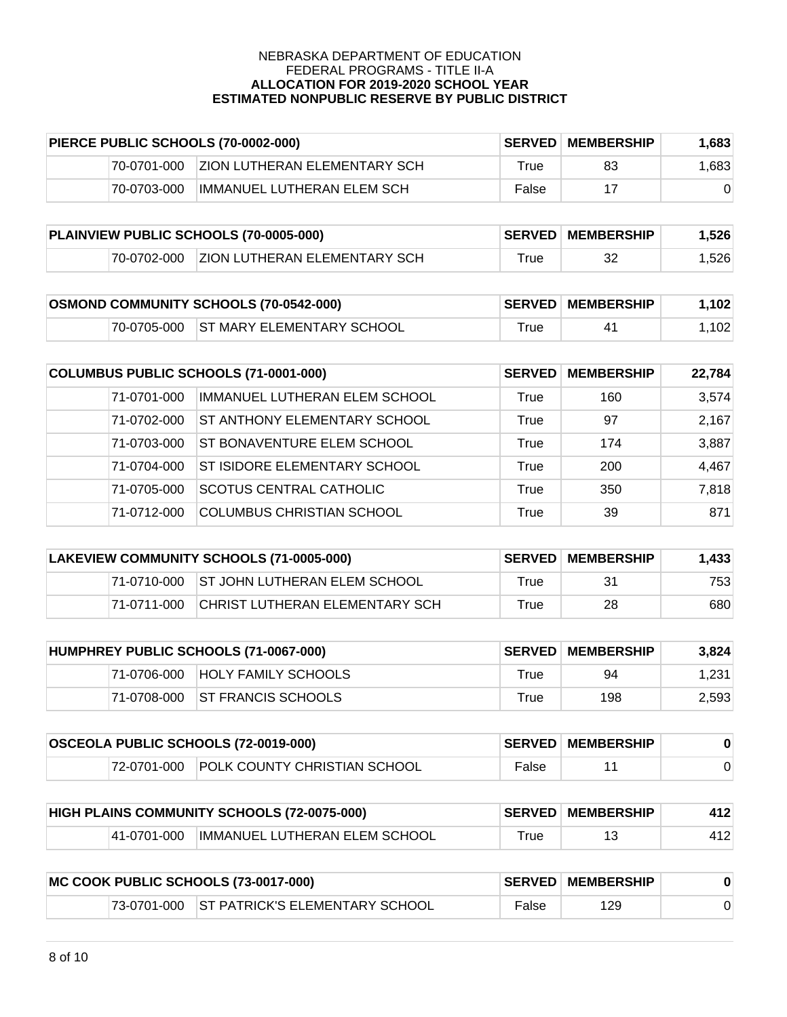| PIERCE PUBLIC SCHOOLS (70-0002-000) |             | <b>SERVED</b>                       | <b>MEMBERSHIP</b> | 1.683 |       |
|-------------------------------------|-------------|-------------------------------------|-------------------|-------|-------|
|                                     | 70-0701-000 | <b>ZION LUTHERAN ELEMENTARY SCH</b> | True              | 83    | 1.683 |
|                                     | 70-0703-000 | IMMANUEL LUTHERAN ELEM SCH          | False             |       |       |

| PLAINVIEW PUBLIC SCHOOLS (70-0005-000) |             |                                     | <b>SERVED MEMBERSHIP</b> | 1.526 |       |
|----------------------------------------|-------------|-------------------------------------|--------------------------|-------|-------|
|                                        | 70-0702-000 | <b>ZION LUTHERAN ELEMENTARY SCH</b> | True                     | 32    | 1,526 |

| <b>OSMOND COMMUNITY SCHOOLS (70-0542-000)</b> |  |                                       | <b>SERVED MEMBERSHIP</b> | 1.102 |       |
|-----------------------------------------------|--|---------------------------------------|--------------------------|-------|-------|
|                                               |  | 70-0705-000 ST MARY ELEMENTARY SCHOOL | $\mathsf{True}$          | 41    | 1,102 |

| COLUMBUS PUBLIC SCHOOLS (71-0001-000) |                                     | <b>SERVED</b> | <b>MEMBERSHIP</b> | 22,784 |
|---------------------------------------|-------------------------------------|---------------|-------------------|--------|
| 71-0701-000                           | IMMANUEL LUTHERAN ELEM SCHOOL       | True          | 160               | 3,574  |
| 71-0702-000                           | <b>ST ANTHONY ELEMENTARY SCHOOL</b> | True          | 97                | 2,167  |
| 71-0703-000                           | ST BONAVENTURE ELEM SCHOOL          | True          | 174               | 3,887  |
| 71-0704-000                           | ST ISIDORE ELEMENTARY SCHOOL        | True          | 200               | 4,467  |
| 71-0705-000                           | <b>SCOTUS CENTRAL CATHOLIC</b>      | True          | 350               | 7,818  |
| 71-0712-000                           | <b>COLUMBUS CHRISTIAN SCHOOL</b>    | True          | 39                | 871    |

| LAKEVIEW COMMUNITY SCHOOLS (71-0005-000) |             |                                          | <b>SERVED MEMBERSHIP</b> | 1,433 |     |
|------------------------------------------|-------------|------------------------------------------|--------------------------|-------|-----|
|                                          |             | 71-0710-000 ST JOHN LUTHERAN ELEM SCHOOL | True                     | 31    | 753 |
|                                          | 71-0711-000 | <b>ICHRIST LUTHERAN ELEMENTARY SCH</b>   | True                     | 28.   | 680 |

| HUMPHREY PUBLIC SCHOOLS (71-0067-000) |             | <b>SERVED</b>                  | MEMBERSHIP | 3.824 |       |
|---------------------------------------|-------------|--------------------------------|------------|-------|-------|
|                                       | 71-0706-000 | <b>HOLY FAMILY SCHOOLS</b>     | True       | 94    | 1.231 |
|                                       |             | 71-0708-000 ST FRANCIS SCHOOLS | True       | 198   | 2,593 |

| <b>OSCEOLA PUBLIC SCHOOLS (72-0019-000)</b> |  |                                          | <b>SERVED MEMBERSHIP</b> |  |  |
|---------------------------------------------|--|------------------------------------------|--------------------------|--|--|
|                                             |  | 72-0701-000 POLK COUNTY CHRISTIAN SCHOOL | False                    |  |  |

| HIGH PLAINS COMMUNITY SCHOOLS (72-0075-000) |             |                                | <b>SERVED MEMBERSHIP</b> | 412 |  |
|---------------------------------------------|-------------|--------------------------------|--------------------------|-----|--|
|                                             | 41-0701-000 | IIMMANUEL LUTHERAN ELEM SCHOOL | rue                      |     |  |

| MC COOK PUBLIC SCHOOLS (73-0017-000) |  |                                            | <b>SERVED MEMBERSHIP</b> |     |  |
|--------------------------------------|--|--------------------------------------------|--------------------------|-----|--|
|                                      |  | 73-0701-000 ST PATRICK'S ELEMENTARY SCHOOL | False                    | 129 |  |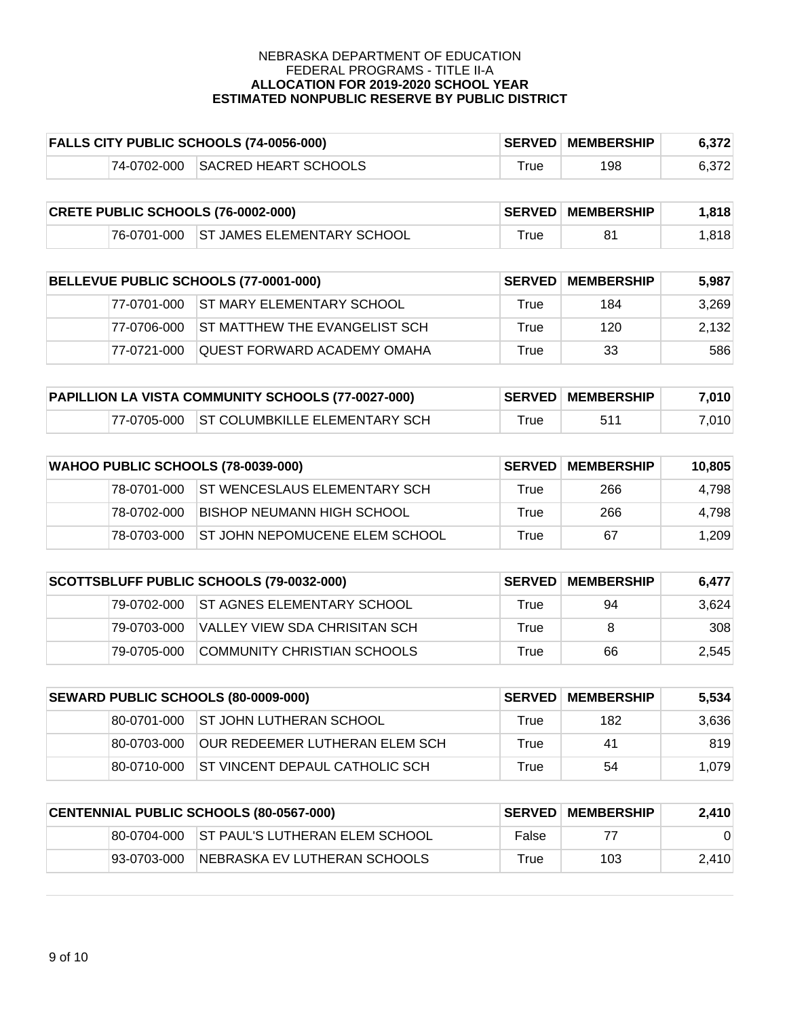|  | <b>FALLS CITY PUBLIC SCHOOLS (74-0056-000)</b> |            | <b>SERVED MEMBERSHIP</b> | 6,372 |
|--|------------------------------------------------|------------|--------------------------|-------|
|  | 74-0702-000 SACRED HEART SCHOOLS               | $\tau$ rue | 198                      | 6,372 |

| <b>CRETE PUBLIC SCHOOLS (76-0002-000)</b> |  |                                        | <b>SERVED MEMBERSHIP</b>     | 1.818 |      |
|-------------------------------------------|--|----------------------------------------|------------------------------|-------|------|
|                                           |  | 76-0701-000 ST JAMES ELEMENTARY SCHOOL | $\mathsf{^{\mathsf{T}}}$ rue |       | .818 |

| BELLEVUE PUBLIC SCHOOLS (77-0001-000) |              | <b>SERVED</b>                           | <b>MEMBERSHIP</b> | 5.987 |       |
|---------------------------------------|--------------|-----------------------------------------|-------------------|-------|-------|
|                                       |              | 177-0701-000 IST MARY ELEMENTARY SCHOOL | True              | 184   | 3,269 |
|                                       | 177-0706-000 | IST MATTHEW THE EVANGELIST SCH          | True              | 120   | 2,132 |
|                                       | 77-0721-000  | QUEST FORWARD ACADEMY OMAHA             | True              | 33    | 586   |

| PAPILLION LA VISTA COMMUNITY SCHOOLS (77-0027-000) |  |                                            | <b>SERVED MEMBERSHIP</b>     | 7,010 |       |
|----------------------------------------------------|--|--------------------------------------------|------------------------------|-------|-------|
|                                                    |  | 177-0705-000 ST COLUMBKILLE ELEMENTARY SCH | $\mathsf{^{\mathsf{T}}}$ rue | 511   | 7.010 |

| WAHOO PUBLIC SCHOOLS (78-0039-000) |             |                                       | <b>SERVED MEMBERSHIP</b> | 10.805 |       |
|------------------------------------|-------------|---------------------------------------|--------------------------|--------|-------|
|                                    | 78-0701-000 | <b>ST WENCESLAUS ELEMENTARY SCH</b>   | True                     | 266    | 4,798 |
|                                    | 78-0702-000 | IBISHOP NEUMANN HIGH SCHOOL           | True                     | 266    | 4,798 |
|                                    | 78-0703-000 | <b>ST JOHN NEPOMUCENE ELEM SCHOOL</b> | True                     | 67     | 1,209 |

| SCOTTSBLUFF PUBLIC SCHOOLS (79-0032-000) |             |                                    | <b>SERVED MEMBERSHIP</b> | 6.477 |       |
|------------------------------------------|-------------|------------------------------------|--------------------------|-------|-------|
|                                          | 79-0702-000 | <b>IST AGNES ELEMENTARY SCHOOL</b> | True                     | 94    | 3.624 |
|                                          | 79-0703-000 | VALLEY VIEW SDA CHRISITAN SCH      | True                     | 8     | 308   |
|                                          | 79-0705-000 | COMMUNITY CHRISTIAN SCHOOLS        | True                     | 66    | 2,545 |

| SEWARD PUBLIC SCHOOLS (80-0009-000) |             | <b>SERVED I</b>                        | <b>MEMBERSHIP</b> | 5,534 |       |
|-------------------------------------|-------------|----------------------------------------|-------------------|-------|-------|
|                                     |             | 80-0701-000 ST JOHN LUTHERAN SCHOOL    | True              | 182   | 3,636 |
|                                     | 80-0703-000 | IOUR REDEEMER LUTHERAN ELEM SCH        | True              | 41    | 819   |
|                                     | 80-0710-000 | <b>IST VINCENT DEPAUL CATHOLIC SCH</b> | True              | 54    | 1.079 |

| CENTENNIAL PUBLIC SCHOOLS (80-0567-000) |             | <b>SERVED</b>                              | <b>MEMBERSHIP</b> | 2,410 |       |
|-----------------------------------------|-------------|--------------------------------------------|-------------------|-------|-------|
|                                         |             | 80-0704-000 ST PAUL'S LUTHERAN ELEM SCHOOL | False             | 77    |       |
|                                         | 93-0703-000 | INEBRASKA EV LUTHERAN SCHOOLS              | True              | 103   | 2.410 |